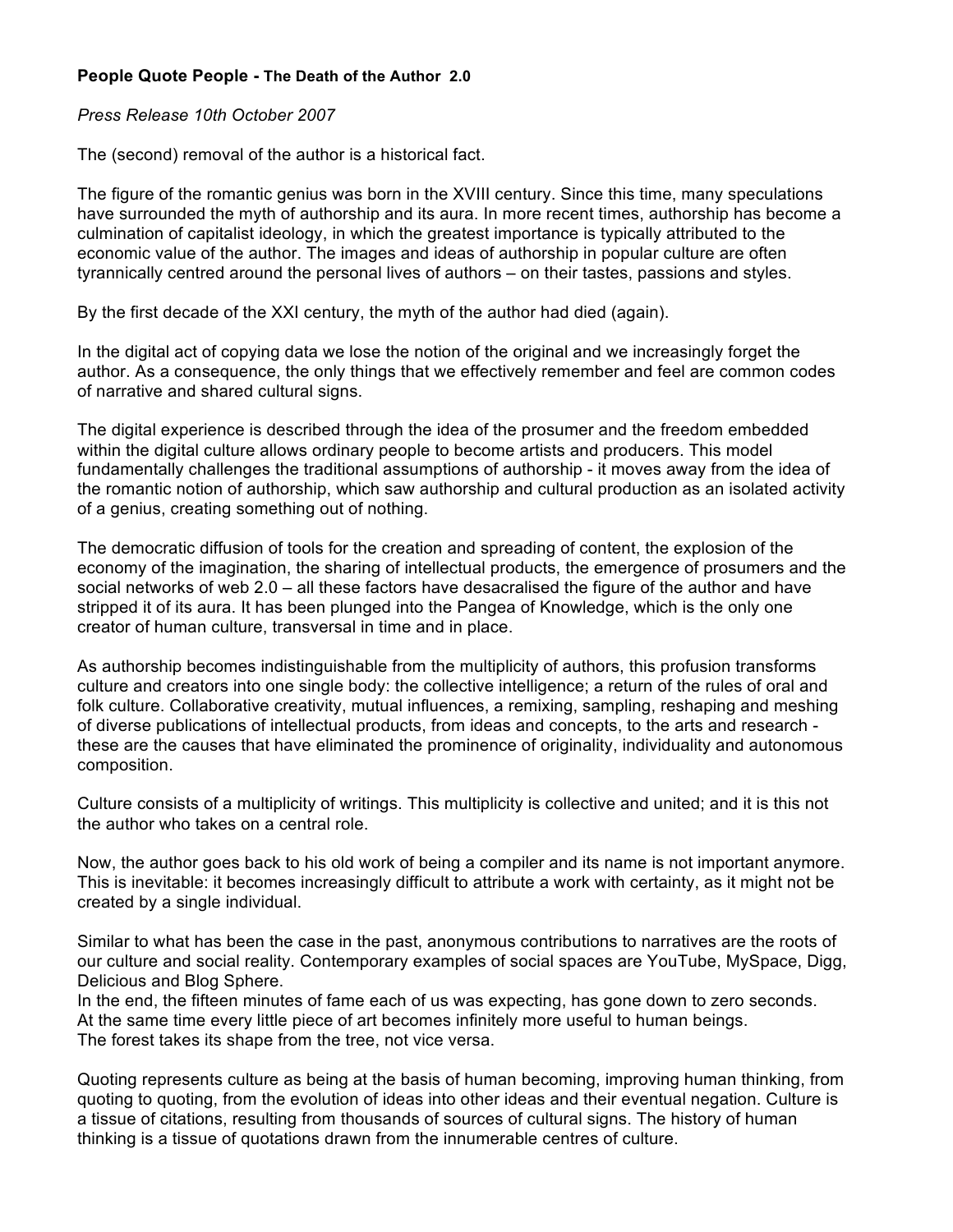## **People Quote People - The Death of the Author 2.0**

## *Press Release 10th October 2007*

The (second) removal of the author is a historical fact.

The figure of the romantic genius was born in the XVIII century. Since this time, many speculations have surrounded the myth of authorship and its aura. In more recent times, authorship has become a culmination of capitalist ideology, in which the greatest importance is typically attributed to the economic value of the author. The images and ideas of authorship in popular culture are often tyrannically centred around the personal lives of authors – on their tastes, passions and styles.

By the first decade of the XXI century, the myth of the author had died (again).

In the digital act of copying data we lose the notion of the original and we increasingly forget the author. As a consequence, the only things that we effectively remember and feel are common codes of narrative and shared cultural signs.

The digital experience is described through the idea of the prosumer and the freedom embedded within the digital culture allows ordinary people to become artists and producers. This model fundamentally challenges the traditional assumptions of authorship - it moves away from the idea of the romantic notion of authorship, which saw authorship and cultural production as an isolated activity of a genius, creating something out of nothing.

The democratic diffusion of tools for the creation and spreading of content, the explosion of the economy of the imagination, the sharing of intellectual products, the emergence of prosumers and the social networks of web 2.0 – all these factors have desacralised the figure of the author and have stripped it of its aura. It has been plunged into the Pangea of Knowledge, which is the only one creator of human culture, transversal in time and in place.

As authorship becomes indistinguishable from the multiplicity of authors, this profusion transforms culture and creators into one single body: the collective intelligence; a return of the rules of oral and folk culture. Collaborative creativity, mutual influences, a remixing, sampling, reshaping and meshing of diverse publications of intellectual products, from ideas and concepts, to the arts and research these are the causes that have eliminated the prominence of originality, individuality and autonomous composition.

Culture consists of a multiplicity of writings. This multiplicity is collective and united; and it is this not the author who takes on a central role.

Now, the author goes back to his old work of being a compiler and its name is not important anymore. This is inevitable: it becomes increasingly difficult to attribute a work with certainty, as it might not be created by a single individual.

Similar to what has been the case in the past, anonymous contributions to narratives are the roots of our culture and social reality. Contemporary examples of social spaces are YouTube, MySpace, Digg, Delicious and Blog Sphere.

In the end, the fifteen minutes of fame each of us was expecting, has gone down to zero seconds. At the same time every little piece of art becomes infinitely more useful to human beings. The forest takes its shape from the tree, not vice versa.

Quoting represents culture as being at the basis of human becoming, improving human thinking, from quoting to quoting, from the evolution of ideas into other ideas and their eventual negation. Culture is a tissue of citations, resulting from thousands of sources of cultural signs. The history of human thinking is a tissue of quotations drawn from the innumerable centres of culture.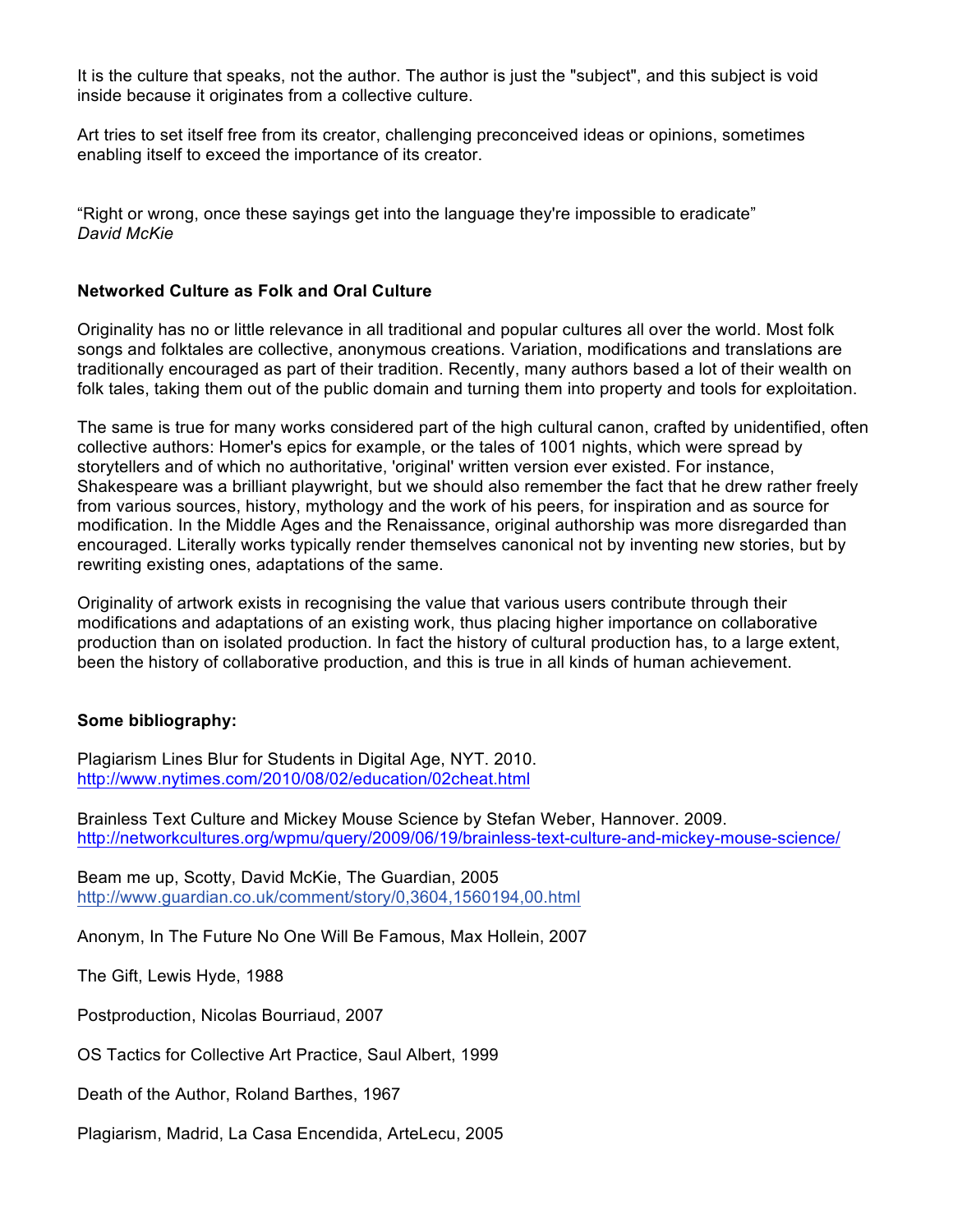It is the culture that speaks, not the author. The author is just the "subject", and this subject is void inside because it originates from a collective culture.

Art tries to set itself free from its creator, challenging preconceived ideas or opinions, sometimes enabling itself to exceed the importance of its creator.

"Right or wrong, once these sayings get into the language they're impossible to eradicate" *David McKie*

## **Networked Culture as Folk and Oral Culture**

Originality has no or little relevance in all traditional and popular cultures all over the world. Most folk songs and folktales are collective, anonymous creations. Variation, modifications and translations are traditionally encouraged as part of their tradition. Recently, many authors based a lot of their wealth on folk tales, taking them out of the public domain and turning them into property and tools for exploitation.

The same is true for many works considered part of the high cultural canon, crafted by unidentified, often collective authors: Homer's epics for example, or the tales of 1001 nights, which were spread by storytellers and of which no authoritative, 'original' written version ever existed. For instance, Shakespeare was a brilliant playwright, but we should also remember the fact that he drew rather freely from various sources, history, mythology and the work of his peers, for inspiration and as source for modification. In the Middle Ages and the Renaissance, original authorship was more disregarded than encouraged. Literally works typically render themselves canonical not by inventing new stories, but by rewriting existing ones, adaptations of the same.

Originality of artwork exists in recognising the value that various users contribute through their modifications and adaptations of an existing work, thus placing higher importance on collaborative production than on isolated production. In fact the history of cultural production has, to a large extent, been the history of collaborative production, and this is true in all kinds of human achievement.

## **Some bibliography:**

Plagiarism Lines Blur for Students in Digital Age, NYT. 2010. http://www.nytimes.com/2010/08/02/education/02cheat.html

Brainless Text Culture and Mickey Mouse Science by Stefan Weber, Hannover. 2009. http://networkcultures.org/wpmu/query/2009/06/19/brainless-text-culture-and-mickey-mouse-science/

Beam me up, Scotty, David McKie, The Guardian, 2005 http://www.guardian.co.uk/comment/story/0,3604,1560194,00.html

Anonym, In The Future No One Will Be Famous, Max Hollein, 2007

The Gift, Lewis Hyde, 1988

Postproduction, Nicolas Bourriaud, 2007

OS Tactics for Collective Art Practice, Saul Albert, 1999

Death of the Author, Roland Barthes, 1967

Plagiarism, Madrid, La Casa Encendida, ArteLecu, 2005